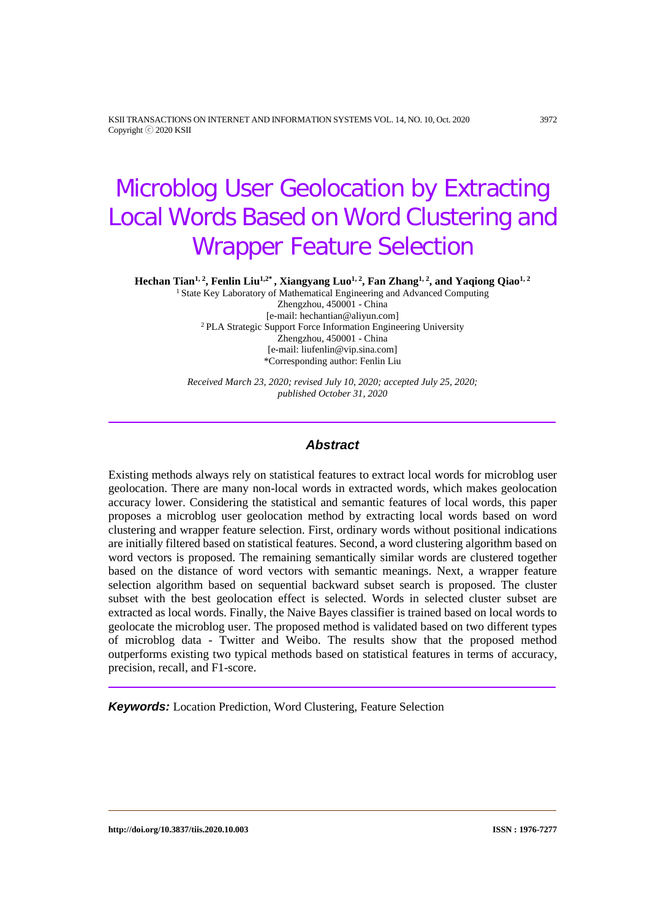KSII TRANSACTIONS ON INTERNET AND INFORMATION SYSTEMS VOL. 14, NO. 10, Oct. 2020 3972 Copyright ⓒ 2020 KSII

# Microblog User Geolocation by Extracting Local Words Based on Word Clustering and Wrapper Feature Selection

Hechan Tian<sup>1, 2</sup>, Fenlin Liu<sup>1,2\*</sup>, Xiangyang Luo<sup>1, 2</sup>, Fan Zhang<sup>1, 2</sup>, and Yaqiong Qiao<sup>1, 2</sup>

<sup>1</sup> State Key Laboratory of Mathematical Engineering and Advanced Computing Zhengzhou, 450001 - China [e-mail: hechantian@aliyun.com] <sup>2</sup> PLA Strategic Support Force Information Engineering University Zhengzhou, 450001 - China [e-mail: liufenlin@vip.sina.com] \*Corresponding author: Fenlin Liu

*Received March 23, 2020; revised July 10, 2020; accepted July 25, 2020; published October 31, 2020*

### *Abstract*

Existing methods always rely on statistical features to extract local words for microblog user geolocation. There are many non-local words in extracted words, which makes geolocation accuracy lower. Considering the statistical and semantic features of local words, this paper proposes a microblog user geolocation method by extracting local words based on word clustering and wrapper feature selection. First, ordinary words without positional indications are initially filtered based on statistical features. Second, a word clustering algorithm based on word vectors is proposed. The remaining semantically similar words are clustered together based on the distance of word vectors with semantic meanings. Next, a wrapper feature selection algorithm based on sequential backward subset search is proposed. The cluster subset with the best geolocation effect is selected. Words in selected cluster subset are extracted as local words. Finally, the Naive Bayes classifier is trained based on local words to geolocate the microblog user. The proposed method is validated based on two different types of microblog data - Twitter and Weibo. The results show that the proposed method outperforms existing two typical methods based on statistical features in terms of accuracy, precision, recall, and F1-score.

*Keywords:* Location Prediction, Word Clustering, Feature Selection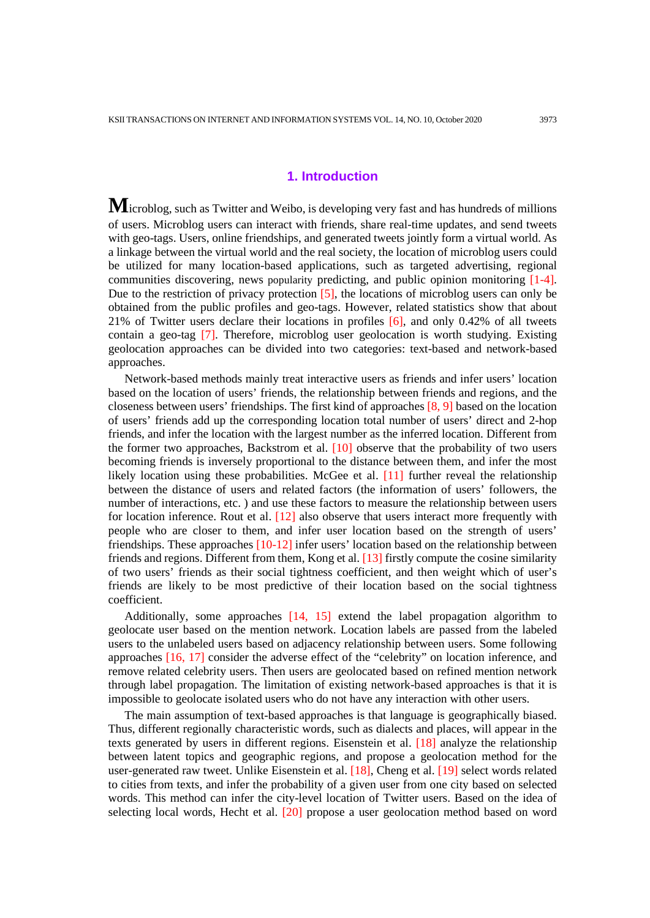## **1. Introduction**

**M**icroblog, such as Twitter and Weibo, is developing very fast and has hundreds of millions of users. Microblog users can interact with friends, share real-time updates, and send tweets with geo-tags. Users, online friendships, and generated tweets jointly form a virtual world. As a linkage between the virtual world and the real society, the location of microblog users could be utilized for many location-based applications, such as targeted advertising, regional communities discovering, news popularity predicting, and public opinion monitoring [1-4]. Due to the restriction of privacy protection [5], the locations of microblog users can only be obtained from the public profiles and geo-tags. However, related statistics show that about 21% of Twitter users declare their locations in profiles [6], and only 0.42% of all tweets contain a geo-tag [7]. Therefore, microblog user geolocation is worth studying. Existing geolocation approaches can be divided into two categories: text-based and network-based approaches.

Network-based methods mainly treat interactive users as friends and infer users' location based on the location of users' friends, the relationship between friends and regions, and the closeness between users' friendships. The first kind of approaches [8, 9] based on the location of users' friends add up the corresponding location total number of users' direct and 2-hop friends, and infer the location with the largest number as the inferred location. Different from the former two approaches, Backstrom et al. [10] observe that the probability of two users becoming friends is inversely proportional to the distance between them, and infer the most likely location using these probabilities. McGee et al. [11] further reveal the relationship between the distance of users and related factors (the information of users' followers, the number of interactions, etc. ) and use these factors to measure the relationship between users for location inference. Rout et al. [12] also observe that users interact more frequently with people who are closer to them, and infer user location based on the strength of users' friendships. These approaches [10-12] infer users' location based on the relationship between friends and regions. Different from them, Kong et al. [13] firstly compute the cosine similarity of two users' friends as their social tightness coefficient, and then weight which of user's friends are likely to be most predictive of their location based on the social tightness coefficient.

Additionally, some approaches [14, 15] extend the label propagation algorithm to geolocate user based on the mention network. Location labels are passed from the labeled users to the unlabeled users based on adjacency relationship between users. Some following approaches [16, 17] consider the adverse effect of the "celebrity" on location inference, and remove related celebrity users. Then users are geolocated based on refined mention network through label propagation. The limitation of existing network-based approaches is that it is impossible to geolocate isolated users who do not have any interaction with other users.

The main assumption of text-based approaches is that language is geographically biased. Thus, different regionally characteristic words, such as dialects and places, will appear in the texts generated by users in different regions. Eisenstein et al. [18] analyze the relationship between latent topics and geographic regions, and propose a geolocation method for the user-generated raw tweet. Unlike Eisenstein et al. [18], Cheng et al. [19] select words related to cities from texts, and infer the probability of a given user from one city based on selected words. This method can infer the city-level location of Twitter users. Based on the idea of selecting local words, Hecht et al. [20] propose a user geolocation method based on word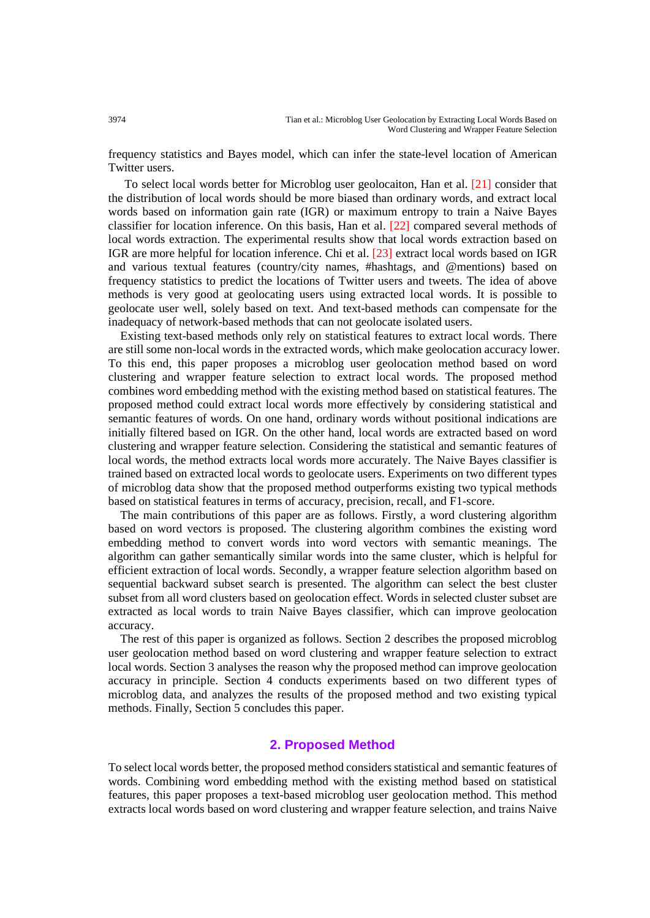frequency statistics and Bayes model, which can infer the state-level location of American Twitter users.

To select local words better for Microblog user geolocaiton, Han et al. [21] consider that the distribution of local words should be more biased than ordinary words, and extract local words based on information gain rate (IGR) or maximum entropy to train a Naive Bayes classifier for location inference. On this basis, Han et al. [22] compared several methods of local words extraction. The experimental results show that local words extraction based on IGR are more helpful for location inference. Chi et al. [23] extract local words based on IGR and various textual features (country/city names, #hashtags, and @mentions) based on frequency statistics to predict the locations of Twitter users and tweets. The idea of above methods is very good at geolocating users using extracted local words. It is possible to geolocate user well, solely based on text. And text-based methods can compensate for the inadequacy of network-based methods that can not geolocate isolated users.

Existing text-based methods only rely on statistical features to extract local words. There are still some non-local words in the extracted words, which make geolocation accuracy lower. To this end, this paper proposes a microblog user geolocation method based on word clustering and wrapper feature selection to extract local words. The proposed method combines word embedding method with the existing method based on statistical features. The proposed method could extract local words more effectively by considering statistical and semantic features of words. On one hand, ordinary words without positional indications are initially filtered based on IGR. On the other hand, local words are extracted based on word clustering and wrapper feature selection. Considering the statistical and semantic features of local words, the method extracts local words more accurately. The Naive Bayes classifier is trained based on extracted local words to geolocate users. Experiments on two different types of microblog data show that the proposed method outperforms existing two typical methods based on statistical features in terms of accuracy, precision, recall, and F1-score.

The main contributions of this paper are as follows. Firstly, a word clustering algorithm based on word vectors is proposed. The clustering algorithm combines the existing word embedding method to convert words into word vectors with semantic meanings. The algorithm can gather semantically similar words into the same cluster, which is helpful for efficient extraction of local words. Secondly, a wrapper feature selection algorithm based on sequential backward subset search is presented. The algorithm can select the best cluster subset from all word clusters based on geolocation effect. Words in selected cluster subset are extracted as local words to train Naive Bayes classifier, which can improve geolocation accuracy.

The rest of this paper is organized as follows. Section 2 describes the proposed microblog user geolocation method based on word clustering and wrapper feature selection to extract local words. Section 3 analyses the reason why the proposed method can improve geolocation accuracy in principle. Section 4 conducts experiments based on two different types of microblog data, and analyzes the results of the proposed method and two existing typical methods. Finally, Section 5 concludes this paper.

## **2. Proposed Method**

To select local words better, the proposed method considers statistical and semantic features of words. Combining word embedding method with the existing method based on statistical features, this paper proposes a text-based microblog user geolocation method. This method extracts local words based on word clustering and wrapper feature selection, and trains Naive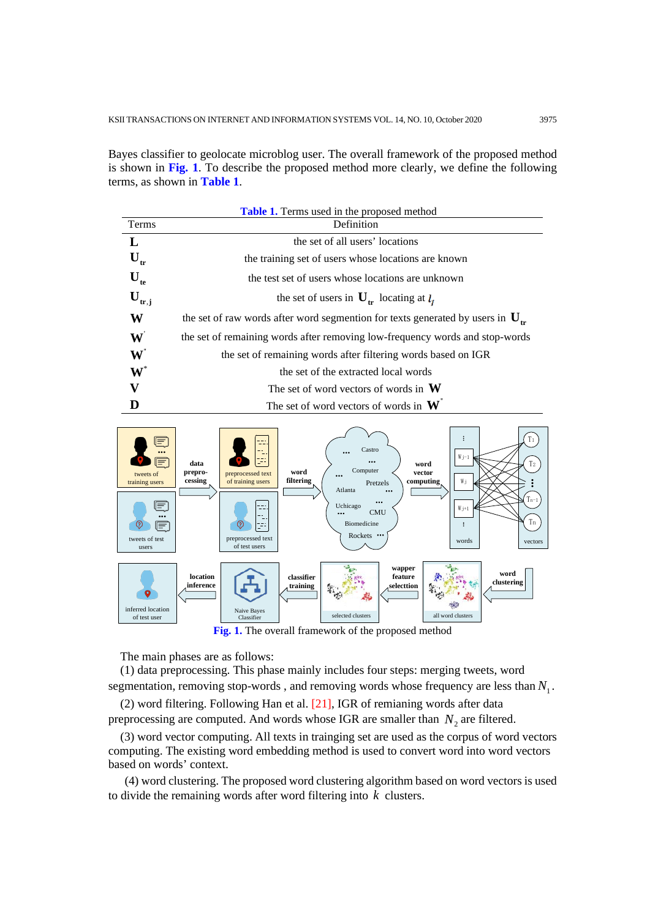Bayes classifier to geolocate microblog user. The overall framework of the proposed method is shown in **Fig. 1**. To describe the proposed method more clearly, we define the following terms, as shown in **Table 1**.

| <b>Table 1.</b> Terms used in the proposed method |                                                                                     |  |  |  |  |
|---------------------------------------------------|-------------------------------------------------------------------------------------|--|--|--|--|
| Terms                                             | Definition                                                                          |  |  |  |  |
| L                                                 | the set of all users' locations                                                     |  |  |  |  |
| $\mathbf{U}_{\text{tr}}$                          | the training set of users whose locations are known                                 |  |  |  |  |
| $\mathbf{U}_{\text{te}}$                          | the test set of users whose locations are unknown                                   |  |  |  |  |
| $\mathbf{U}_{\text{tr},j}$                        | the set of users in $U_{tr}$ locating at $l_i$                                      |  |  |  |  |
| W                                                 | the set of raw words after word segmention for texts generated by users in $U_{tr}$ |  |  |  |  |
| $\mathbf{W}$                                      | the set of remaining words after removing low-frequency words and stop-words        |  |  |  |  |
| $\mathbf{W}^{\mathsf{T}}$                         | the set of remaining words after filtering words based on IGR                       |  |  |  |  |
| $\textbf{W}^*$                                    | the set of the extracted local words                                                |  |  |  |  |
| V                                                 | The set of word vectors of words in $W$                                             |  |  |  |  |
|                                                   | The set of word vectors of words in $W$                                             |  |  |  |  |



The main phases are as follows:

(1) data preprocessing. This phase mainly includes four steps: merging tweets, word segmentation, removing stop-words, and removing words whose frequency are less than  $N<sub>1</sub>$ .

(2) word filtering. Following Han et al. [21], IGR of remianing words after data preprocessing are computed. And words whose IGR are smaller than  $N_2$  are filtered.

(3) word vector computing. All texts in trainging set are used as the corpus of word vectors computing. The existing word embedding method is used to convert word into word vectors based on words' context.

(4) word clustering. The proposed word clustering algorithm based on word vectors is used to divide the remaining words after word filtering into *k* clusters.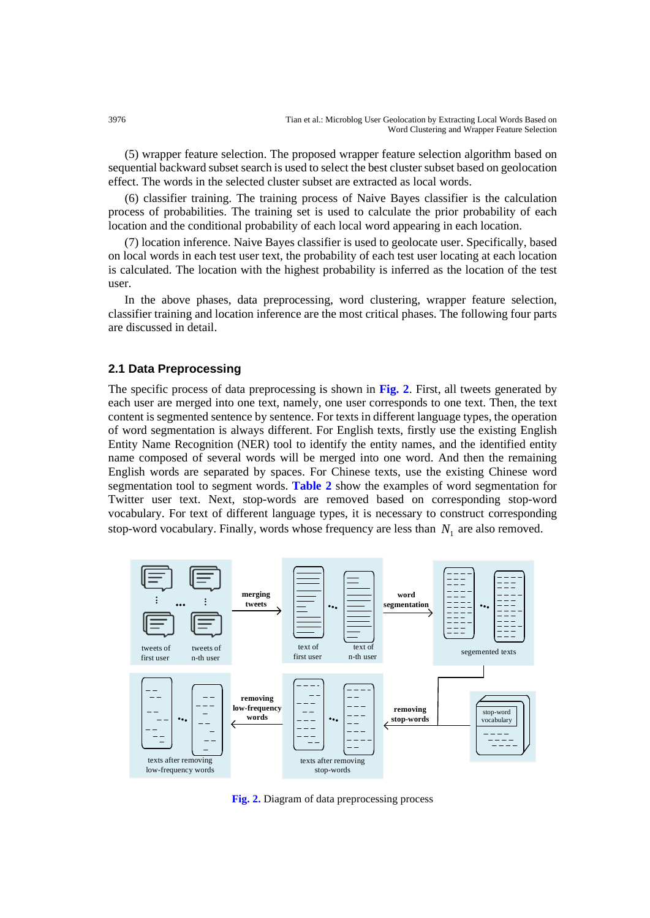(5) wrapper feature selection. The proposed wrapper feature selection algorithm based on sequential backward subset search is used to select the best cluster subset based on geolocation effect. The words in the selected cluster subset are extracted as local words.

(6) classifier training. The training process of Naive Bayes classifier is the calculation process of probabilities. The training set is used to calculate the prior probability of each location and the conditional probability of each local word appearing in each location.

(7) location inference. Naive Bayes classifier is used to geolocate user. Specifically, based on local words in each test user text, the probability of each test user locating at each location is calculated. The location with the highest probability is inferred as the location of the test user.

In the above phases, data preprocessing, word clustering, wrapper feature selection, classifier training and location inference are the most critical phases. The following four parts are discussed in detail.

## **2.1 Data Preprocessing**

The specific process of data preprocessing is shown in **Fig. 2**. First, all tweets generated by each user are merged into one text, namely, one user corresponds to one text. Then, the text content is segmented sentence by sentence. For texts in different language types, the operation of word segmentation is always different. For English texts, firstly use the existing English Entity Name Recognition (NER) tool to identify the entity names, and the identified entity name composed of several words will be merged into one word. And then the remaining English words are separated by spaces. For Chinese texts, use the existing Chinese word segmentation tool to segment words. **Table 2** show the examples of word segmentation for Twitter user text. Next, stop-words are removed based on corresponding stop-word vocabulary. For text of different language types, it is necessary to construct corresponding stop-word vocabulary. Finally, words whose frequency are less than  $N_1$  are also removed.



**Fig. 2.** Diagram of data preprocessing process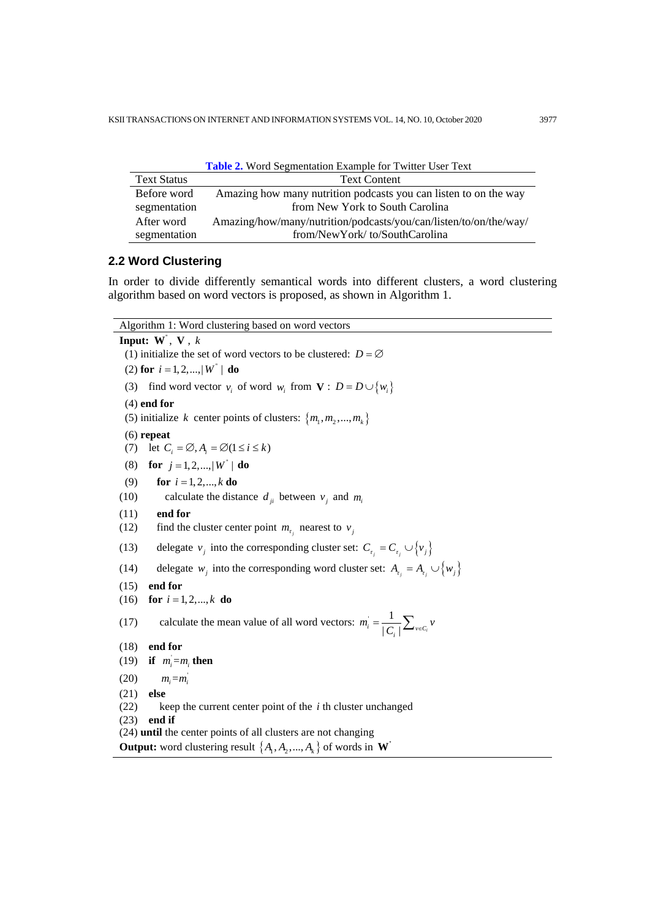| <b>Table 2.</b> Word Segmentation Example for Twitter User Text |                                                                   |  |  |  |
|-----------------------------------------------------------------|-------------------------------------------------------------------|--|--|--|
| <b>Text Status</b>                                              | <b>Text Content</b>                                               |  |  |  |
| Before word                                                     | Amazing how many nutrition podcasts you can listen to on the way  |  |  |  |
| segmentation                                                    | from New York to South Carolina                                   |  |  |  |
| After word                                                      | Amazing/how/many/nutrition/podcasts/you/can/listen/to/on/the/way/ |  |  |  |
| segmentation                                                    | from/NewYork/to/SouthCarolina                                     |  |  |  |

## **2.2 Word Clustering**

In order to divide differently semantical words into different clusters, a word clustering algorithm based on word vectors is proposed, as shown in Algorithm 1.

Algorithm 1: Word clustering based on word vectors **Input: W**'' , **V** , *k*

(1) initialize the set of word vectors to be clustered:  $D = \emptyset$ (2) **for**  $i = 1, 2, ..., |W^{\dagger}|$  **do** (3) find word vector  $v_i$  of word  $w_i$  from  $\mathbf{V}: D = D \cup \{w_i\}$ (4) **end for** (5) initialize *k* center points of clusters:  $\{m_1, m_2, ..., m_k\}$ (6) **repeat** (7) let  $C_i = \emptyset$ ,  $A_i = \emptyset$  ( $1 \le i \le k$ ) (8) **for**  $j = 1, 2, ..., |W^{\dagger}|$  **do** (9) **for**  $i = 1, 2, ..., k$  **do** (10) calculate the distance  $d_{ii}$  between  $v_i$  and  $m_i$ (11) **end for** (12) find the cluster center point  $m_{\tau_j}$  nearest to  $v_j$ (13) delegate  $v_j$  into the corresponding cluster set:  $C_{\tau_j} = C_{\tau_j} \cup \{v_j\}$ (14) delegate *w<sub>j</sub>* into the corresponding word cluster set:  $A_{\tau_i} = A_{\tau_i} \cup \{w_i\}$ (15) **end for** (16) **for**  $i = 1, 2, ..., k$  **do** (17) calculate the mean value of all word vectors:  $m_i = \frac{1}{|C_i|} \sum_{v \in C_i}$  $m_i = \frac{1}{|C_i|} \sum_{v \in C_i} v_i$ (18) **end for** (19) **if**  $m_i = m_i$  **then**  $(20)$   $m_i = m_i$ (21) **else** (22) keep the current center point of the *i* th cluster unchanged (23) **end if** (24) **until** the center points of all clusters are not changing **Output:** word clustering result  $\{A_1, A_2, ..., A_k\}$  of words in **W**<sup>\*</sup>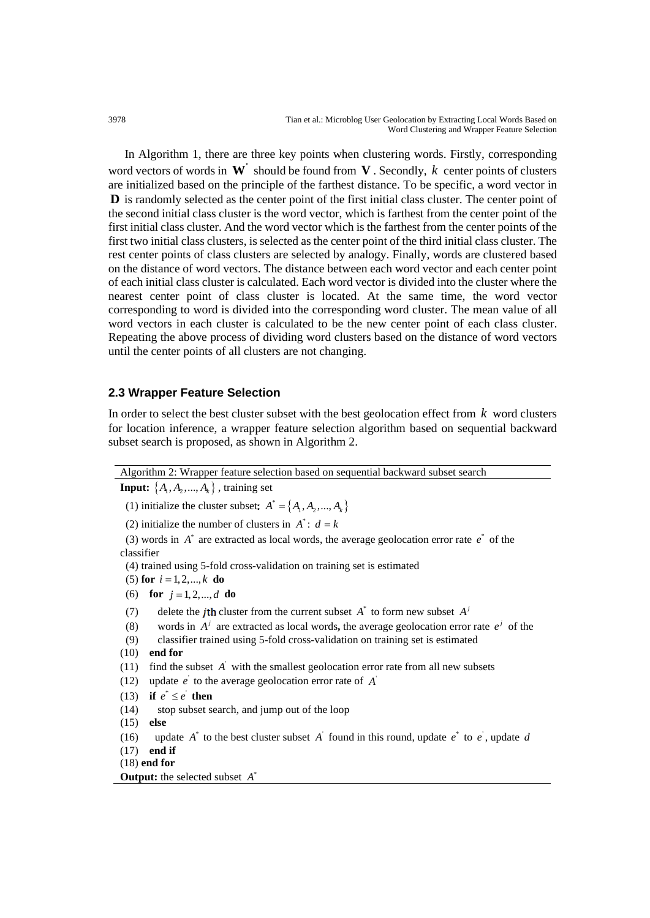In Algorithm 1, there are three key points when clustering words. Firstly, corresponding word vectors of words in **W**'' should be found from **V** . Secondly, *k* center points of clusters are initialized based on the principle of the farthest distance. To be specific, a word vector in **D** is randomly selected as the center point of the first initial class cluster. The center point of the second initial class cluster is the word vector, which is farthest from the center point of the first initial class cluster. And the word vector which is the farthest from the center points of the first two initial class clusters, is selected as the center point of the third initial class cluster. The rest center points of class clusters are selected by analogy. Finally, words are clustered based on the distance of word vectors. The distance between each word vector and each center point of each initial class cluster is calculated. Each word vector is divided into the cluster where the nearest center point of class cluster is located. At the same time, the word vector corresponding to word is divided into the corresponding word cluster. The mean value of all word vectors in each cluster is calculated to be the new center point of each class cluster. Repeating the above process of dividing word clusters based on the distance of word vectors until the center points of all clusters are not changing.

### **2.3 Wrapper Feature Selection**

In order to select the best cluster subset with the best geolocation effect from *k* word clusters for location inference, a wrapper feature selection algorithm based on sequential backward subset search is proposed, as shown in Algorithm 2.

Algorithm 2: Wrapper feature selection based on sequential backward subset search **Input:**  $\{A_1, A_2, ..., A_k\}$ , training set (1) initialize the cluster subset:  $A^* = \{A_1, A_2, ..., A_k\}$ (2) initialize the number of clusters in  $A^*$ :  $d = k$ (3) words in  $A^*$  are extracted as local words, the average geolocation error rate  $e^*$  of the classifier (4) trained using 5-fold cross-validation on training set is estimated  $(5)$  **for**  $i = 1, 2, ..., k$  **do** (6) **for**  $j = 1, 2, ..., d$  **do** (7) delete the *j*th cluster from the current subset  $A^*$  to form new subset  $A^j$ (8) words in  $A^j$  are extracted as local words, the average geolocation error rate  $e^j$  of the (9) classifier trained using 5-fold cross-validation on training set is estimated (10) **end for** (11) find the subset  $\vec{A}$  with the smallest geolocation error rate from all new subsets (12) update  $e$  to the average geolocation error rate of  $\vec{A}$ (13) **if**  $e^* \leq e^*$  **then** (14) stop subset search, and jump out of the loop (15) **else** (16) update  $A^*$  to the best cluster subset  $A^*$  found in this round, update  $e^*$  to  $e^*$ , update  $d$ (17) **end if** (18) **end for Output:** the selected subset  $A^*$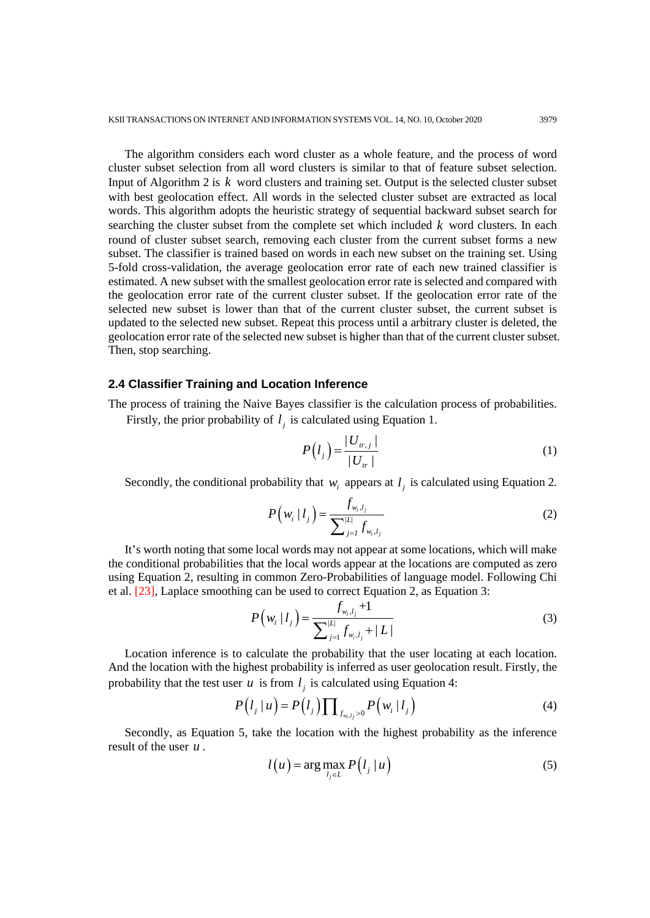The algorithm considers each word cluster as a whole feature, and the process of word cluster subset selection from all word clusters is similar to that of feature subset selection. Input of Algorithm 2 is *k* word clusters and training set. Output is the selected cluster subset with best geolocation effect. All words in the selected cluster subset are extracted as local words. This algorithm adopts the heuristic strategy of sequential backward subset search for searching the cluster subset from the complete set which included *k* word clusters. In each round of cluster subset search, removing each cluster from the current subset forms a new subset. The classifier is trained based on words in each new subset on the training set. Using 5-fold cross-validation, the average geolocation error rate of each new trained classifier is estimated. A new subset with the smallest geolocation error rate is selected and compared with the geolocation error rate of the current cluster subset. If the geolocation error rate of the selected new subset is lower than that of the current cluster subset, the current subset is updated to the selected new subset. Repeat this process until a arbitrary cluster is deleted, the geolocation error rate of the selected new subset is higher than that of the current cluster subset. Then, stop searching.

#### **2.4 Classifier Training and Location Inference**

The process of training the Naive Bayes classifier is the calculation process of probabilities.

Firstly, the prior probability of  $l_i$  is calculated using Equation 1.

$$
P(l_{j}) = \frac{|U_{tr,j}|}{|U_{tr}|}
$$
 (1)

Secondly, the conditional probability that  $w_i$  appears at  $l_j$  is calculated using Equation 2.

$$
P\left(w_i \mid l_j\right) = \frac{f_{w_i, l_j}}{\sum_{j=1}^{|L|} f_{w_i, l_j}}
$$
\n(2)

It's worth noting that some local words may not appear at some locations, which will make the conditional probabilities that the local words appear at the locations are computed as zero using Equation 2, resulting in common Zero-Probabilities of language model. Following Chi et al. [23], Laplace smoothing can be used to correct Equation 2, as Equation 3:

$$
P\left(w_i \mid l_j\right) = \frac{f_{w_i, l_j} + 1}{\sum_{j=1}^{|L|} f_{w_i, l_j} + |L|}
$$
\n(3)

Location inference is to calculate the probability that the user locating at each location. And the location with the highest probability is inferred as user geolocation result. Firstly, the probability that the test user  $u$  is from  $l_i$  is calculated using Equation 4:

$$
P(l_j | u) = P(l_j) \prod_{f_{w_i, l_j} > 0} P(w_i | l_j)
$$
\n
$$
(4)
$$

Secondly, as Equation 5, take the location with the highest probability as the inference result of the user *u* .

$$
l(u) = \arg\max_{l_j \in L} P(l_j | u)
$$
 (5)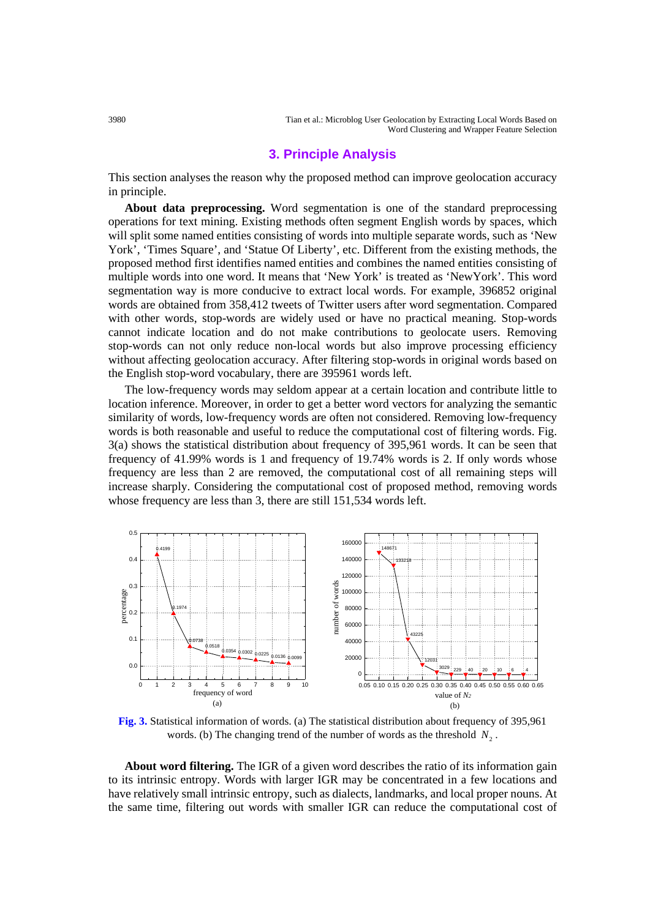3980 Tian et al.: Microblog User Geolocation by Extracting Local Words Based on Word Clustering and Wrapper Feature Selection

### **3. Principle Analysis**

This section analyses the reason why the proposed method can improve geolocation accuracy in principle.

**About data preprocessing.** Word segmentation is one of the standard preprocessing operations for text mining. Existing methods often segment English words by spaces, which will split some named entities consisting of words into multiple separate words, such as 'New York', 'Times Square', and 'Statue Of Liberty', etc. Different from the existing methods, the proposed method first identifies named entities and combines the named entities consisting of multiple words into one word. It means that 'New York' is treated as 'NewYork'. This word segmentation way is more conducive to extract local words. For example, 396852 original words are obtained from 358,412 tweets of Twitter users after word segmentation. Compared with other words, stop-words are widely used or have no practical meaning. Stop-words cannot indicate location and do not make contributions to geolocate users. Removing stop-words can not only reduce non-local words but also improve processing efficiency without affecting geolocation accuracy. After filtering stop-words in original words based on the English stop-word vocabulary, there are 395961 words left.

The low-frequency words may seldom appear at a certain location and contribute little to location inference. Moreover, in order to get a better word vectors for analyzing the semantic similarity of words, low-frequency words are often not considered. Removing low-frequency words is both reasonable and useful to reduce the computational cost of filtering words. Fig. 3(a) shows the statistical distribution about frequency of 395,961 words. It can be seen that frequency of 41.99% words is 1 and frequency of 19.74% words is 2. If only words whose frequency are less than 2 are removed, the computational cost of all remaining steps will increase sharply. Considering the computational cost of proposed method, removing words whose frequency are less than 3, there are still 151,534 words left.



**Fig. 3.** Statistical information of words. (a) The statistical distribution about frequency of 395,961 words. (b) The changing trend of the number of words as the threshold  $N<sub>2</sub>$ .

**About word filtering.** The IGR of a given word describes the ratio of its information gain to its intrinsic entropy. Words with larger IGR may be concentrated in a few locations and have relatively small intrinsic entropy, such as dialects, landmarks, and local proper nouns. At the same time, filtering out words with smaller IGR can reduce the computational cost of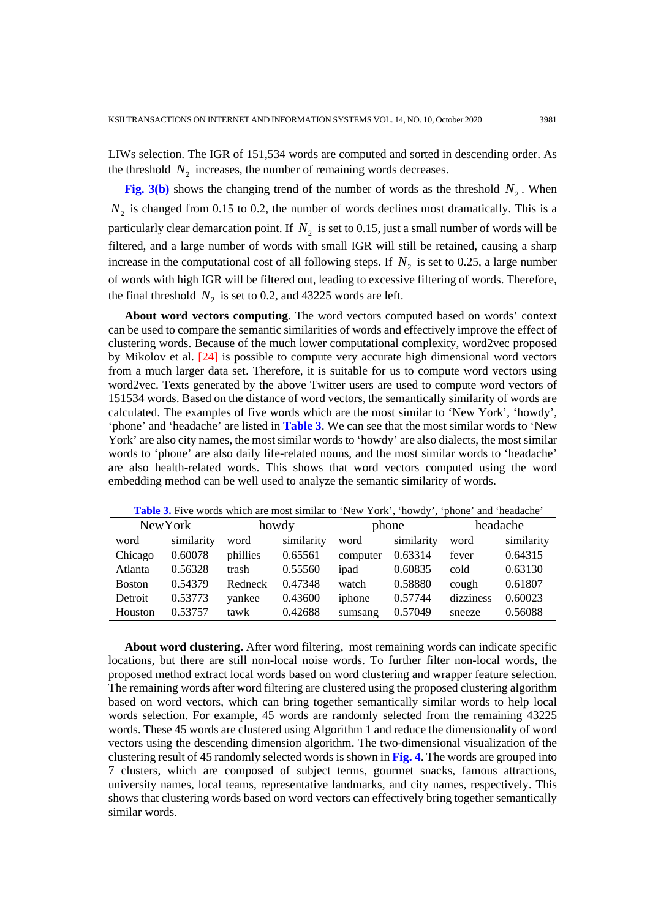LIWs selection. The IGR of 151,534 words are computed and sorted in descending order. As the threshold  $N_2$  increases, the number of remaining words decreases.

**Fig. 3(b)** shows the changing trend of the number of words as the threshold  $N_2$ . When  $N<sub>2</sub>$  is changed from 0.15 to 0.2, the number of words declines most dramatically. This is a particularly clear demarcation point. If  $N_2$  is set to 0.15, just a small number of words will be filtered, and a large number of words with small IGR will still be retained, causing a sharp increase in the computational cost of all following steps. If  $N_2$  is set to 0.25, a large number of words with high IGR will be filtered out, leading to excessive filtering of words. Therefore, the final threshold  $N_2$  is set to 0.2, and 43225 words are left.

**About word vectors computing**. The word vectors computed based on words' context can be used to compare the semantic similarities of words and effectively improve the effect of clustering words. Because of the much lower computational complexity, word2vec proposed by Mikolov et al. [24] is possible to compute very accurate high dimensional word vectors from a much larger data set. Therefore, it is suitable for us to compute word vectors using word2vec. Texts generated by the above Twitter users are used to compute word vectors of 151534 words. Based on the distance of word vectors, the semantically similarity of words are calculated. The examples of five words which are the most similar to 'New York', 'howdy', 'phone' and 'headache' are listed in **Table 3**. We can see that the most similar words to 'New York' are also city names, the most similar words to 'howdy' are also dialects, the most similar words to 'phone' are also daily life-related nouns, and the most similar words to 'headache' are also health-related words. This shows that word vectors computed using the word embedding method can be well used to analyze the semantic similarity of words.

| Table 3. Five words which are most similar to 'New York', 'howdy', 'phone' and 'headache' |            |          |            |          |            |           |            |
|-------------------------------------------------------------------------------------------|------------|----------|------------|----------|------------|-----------|------------|
| <b>New York</b>                                                                           |            | howdy    |            | phone    |            | headache  |            |
| word                                                                                      | similarity | word     | similarity | word     | similarity | word      | similarity |
| Chicago                                                                                   | 0.60078    | phillies | 0.65561    | computer | 0.63314    | fever     | 0.64315    |
| Atlanta                                                                                   | 0.56328    | trash    | 0.55560    | ipad     | 0.60835    | cold      | 0.63130    |
| <b>Boston</b>                                                                             | 0.54379    | Redneck  | 0.47348    | watch    | 0.58880    | cough     | 0.61807    |
| Detroit                                                                                   | 0.53773    | yankee   | 0.43600    | iphone   | 0.57744    | dizziness | 0.60023    |
| Houston                                                                                   | 0.53757    | tawk     | 0.42688    | sumsang  | 0.57049    | sneeze    | 0.56088    |

**About word clustering.** After word filtering, most remaining words can indicate specific locations, but there are still non-local noise words. To further filter non-local words, the proposed method extract local words based on word clustering and wrapper feature selection. The remaining words after word filtering are clustered using the proposed clustering algorithm based on word vectors, which can bring together semantically similar words to help local words selection. For example, 45 words are randomly selected from the remaining 43225 words. These 45 words are clustered using Algorithm 1 and reduce the dimensionality of word vectors using the descending dimension algorithm. The two-dimensional visualization of the clustering result of 45 randomly selected words is shown in **Fig. 4**. The words are grouped into 7 clusters, which are composed of subject terms, gourmet snacks, famous attractions, university names, local teams, representative landmarks, and city names, respectively. This shows that clustering words based on word vectors can effectively bring together semantically similar words.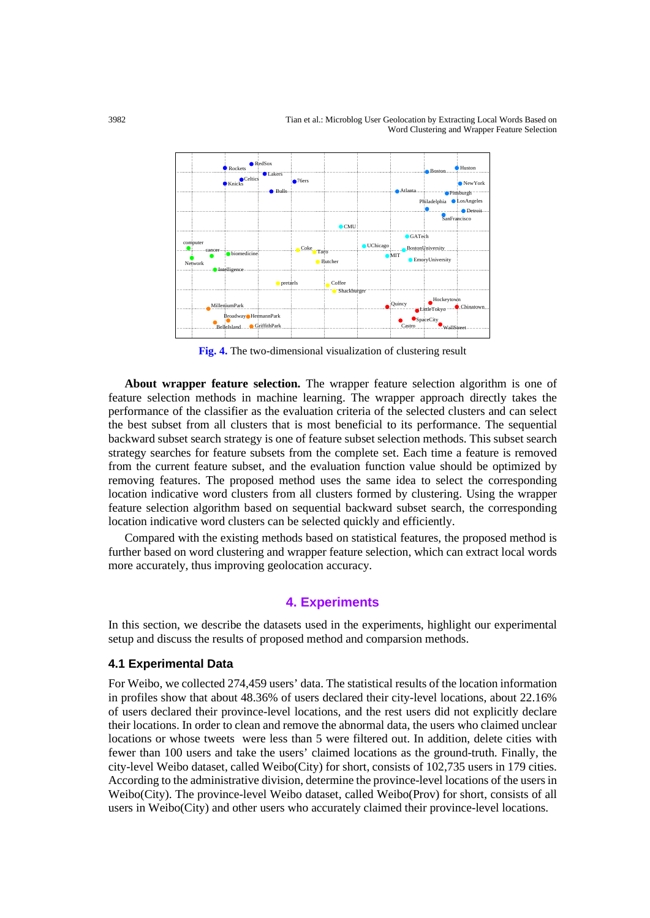3982 Tian et al.: Microblog User Geolocation by Extracting Local Words Based on Word Clustering and Wrapper Feature Selection



**Fig. 4.** The two-dimensional visualization of clustering result

**About wrapper feature selection.** The wrapper feature selection algorithm is one of feature selection methods in machine learning. The wrapper approach directly takes the performance of the classifier as the evaluation criteria of the selected clusters and can select the best subset from all clusters that is most beneficial to its performance. The sequential backward subset search strategy is one of feature subset selection methods. This subset search strategy searches for feature subsets from the complete set. Each time a feature is removed from the current feature subset, and the evaluation function value should be optimized by removing features. The proposed method uses the same idea to select the corresponding location indicative word clusters from all clusters formed by clustering. Using the wrapper feature selection algorithm based on sequential backward subset search, the corresponding location indicative word clusters can be selected quickly and efficiently.

Compared with the existing methods based on statistical features, the proposed method is further based on word clustering and wrapper feature selection, which can extract local words more accurately, thus improving geolocation accuracy.

# **4. Experiments**

In this section, we describe the datasets used in the experiments, highlight our experimental setup and discuss the results of proposed method and comparsion methods.

#### **4.1 Experimental Data**

For Weibo, we collected 274,459 users' data. The statistical results of the location information in profiles show that about 48.36% of users declared their city-level locations, about 22.16% of users declared their province-level locations, and the rest users did not explicitly declare their locations. In order to clean and remove the abnormal data, the users who claimed unclear locations or whose tweets were less than 5 were filtered out. In addition, delete cities with fewer than 100 users and take the users' claimed locations as the ground-truth. Finally, the city-level Weibo dataset, called Weibo(City) for short, consists of 102,735 users in 179 cities. According to the administrative division, determine the province-level locations of the users in Weibo(City). The province-level Weibo dataset, called Weibo(Prov) for short, consists of all users in Weibo(City) and other users who accurately claimed their province-level locations.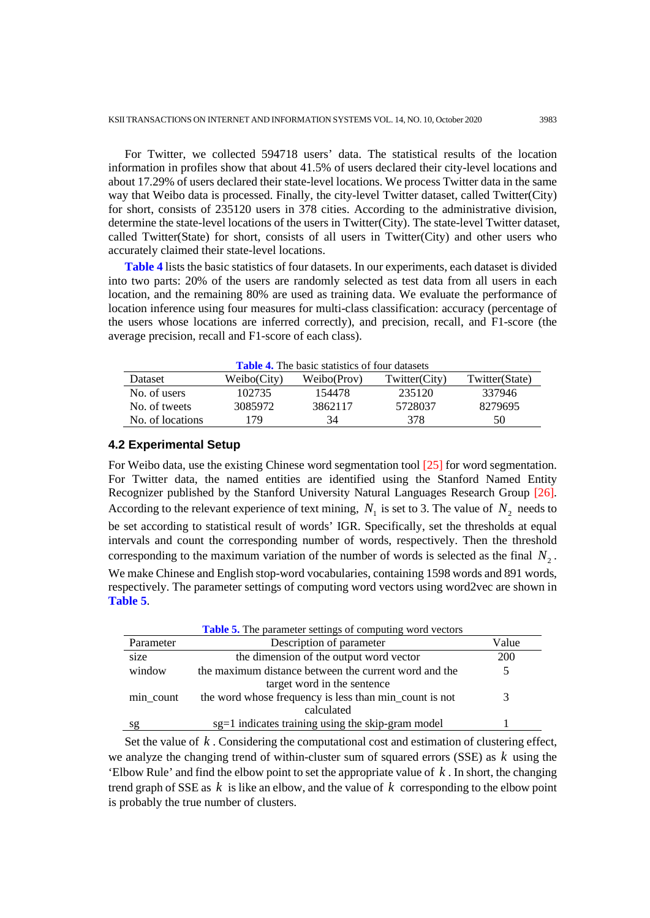For Twitter, we collected 594718 users' data. The statistical results of the location information in profiles show that about 41.5% of users declared their city-level locations and about 17.29% of users declared their state-level locations. We process Twitter data in the same way that Weibo data is processed. Finally, the city-level Twitter dataset, called Twitter(City) for short, consists of 235120 users in 378 cities. According to the administrative division, determine the state-level locations of the users in Twitter(City). The state-level Twitter dataset, called Twitter(State) for short, consists of all users in Twitter(City) and other users who accurately claimed their state-level locations.

**Table 4** lists the basic statistics of four datasets. In our experiments, each dataset is divided into two parts: 20% of the users are randomly selected as test data from all users in each location, and the remaining 80% are used as training data. We evaluate the performance of location inference using four measures for multi-class classification: accuracy (percentage of the users whose locations are inferred correctly), and precision, recall, and F1-score (the average precision, recall and F1-score of each class).

| <b>Table 4.</b> The basic statistics of four datasets |             |             |               |                |  |  |
|-------------------------------------------------------|-------------|-------------|---------------|----------------|--|--|
| Dataset                                               | Weibo(City) | Weibo(Prov) | Twitter(City) | Twitter(State) |  |  |
| No. of users                                          | 102735      | 154478      | 235120        | 337946         |  |  |
| No. of tweets                                         | 3085972     | 3862117     | 5728037       | 8279695        |  |  |
| No. of locations                                      | 179         | 34          | 378           | 50             |  |  |
|                                                       |             |             |               |                |  |  |

#### **4.2 Experimental Setup**

For Weibo data, use the existing Chinese word segmentation tool [25] for word segmentation. For Twitter data, the named entities are identified using the Stanford Named Entity Recognizer published by the Stanford University Natural Languages Research Group [26]. According to the relevant experience of text mining,  $N_1$  is set to 3. The value of  $N_2$  needs to be set according to statistical result of words' IGR. Specifically, set the thresholds at equal intervals and count the corresponding number of words, respectively. Then the threshold corresponding to the maximum variation of the number of words is selected as the final  $N<sub>2</sub>$ . We make Chinese and English stop-word vocabularies, containing 1598 words and 891 words, respectively. The parameter settings of computing word vectors using word2vec are shown in **Table 5**.

|           | <b>Table 5.</b> The parameter settings of computing word vectors |            |
|-----------|------------------------------------------------------------------|------------|
| Parameter | Description of parameter                                         | Value      |
| size      | the dimension of the output word vector                          | <b>200</b> |
| window    | the maximum distance between the current word and the            | 5          |
|           | target word in the sentence                                      |            |
| min_count | the word whose frequency is less than min_count is not           | 3          |
|           | calculated                                                       |            |
| sg        | sg=1 indicates training using the skip-gram model                |            |

Set the value of *k* . Considering the computational cost and estimation of clustering effect, we analyze the changing trend of within-cluster sum of squared errors (SSE) as *k* using the 'Elbow Rule' and find the elbow point to set the appropriate value of *k* . In short, the changing trend graph of SSE as *k* is like an elbow, and the value of *k* corresponding to the elbow point is probably the true number of clusters.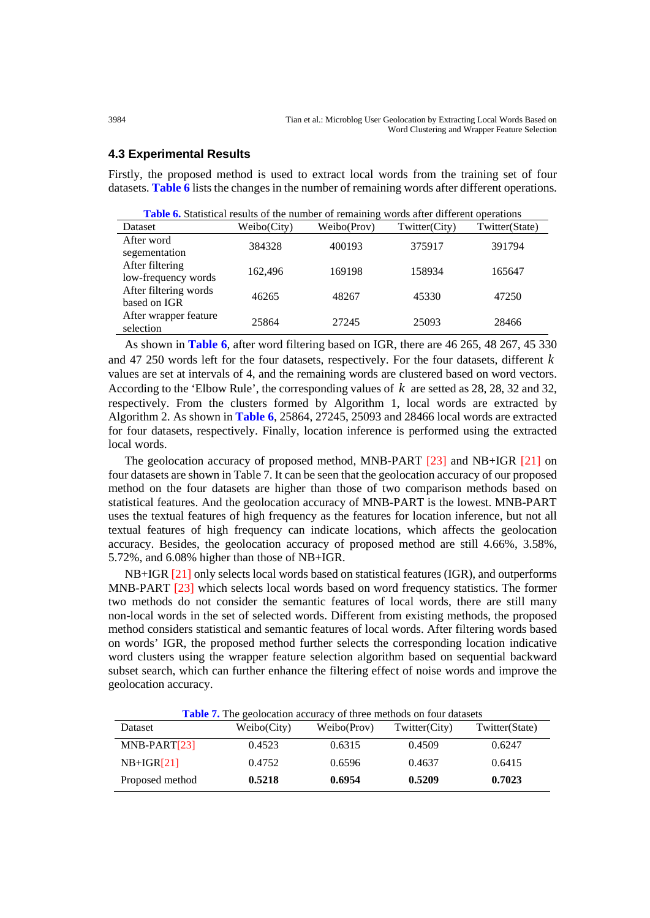#### **4.3 Experimental Results**

Firstly, the proposed method is used to extract local words from the training set of four datasets. **Table 6** lists the changes in the number of remaining words after different operations.

| <b>Table 6.</b> Statistical results of the number of remaining words after different operations |             |             |               |                |  |  |
|-------------------------------------------------------------------------------------------------|-------------|-------------|---------------|----------------|--|--|
| Dataset                                                                                         | Weibo(City) | Weibo(Prov) | Twitter(City) | Twitter(State) |  |  |
| After word<br>segementation                                                                     | 384328      | 400193      | 375917        | 391794         |  |  |
| After filtering<br>low-frequency words                                                          | 162,496     | 169198      | 158934        | 165647         |  |  |
| After filtering words<br>based on IGR                                                           | 46265       | 48267       | 45330         | 47250          |  |  |
| After wrapper feature<br>selection                                                              | 25864       | 27245       | 25093         | 28466          |  |  |

As shown in **Table 6**, after word filtering based on IGR, there are 46 265, 48 267, 45 330 and 47 250 words left for the four datasets, respectively. For the four datasets, different *k* values are set at intervals of 4, and the remaining words are clustered based on word vectors. According to the 'Elbow Rule', the corresponding values of *k* are setted as 28, 28, 32 and 32, respectively. From the clusters formed by Algorithm 1, local words are extracted by Algorithm 2. As shown in **Table 6**, 25864, 27245, 25093 and 28466 local words are extracted for four datasets, respectively. Finally, location inference is performed using the extracted local words.

The geolocation accuracy of proposed method, MNB-PART [23] and NB+IGR [21] on four datasets are shown in Table 7. It can be seen that the geolocation accuracy of our proposed method on the four datasets are higher than those of two comparison methods based on statistical features. And the geolocation accuracy of MNB-PART is the lowest. MNB-PART uses the textual features of high frequency as the features for location inference, but not all textual features of high frequency can indicate locations, which affects the geolocation accuracy. Besides, the geolocation accuracy of proposed method are still 4.66%, 3.58%, 5.72%, and 6.08% higher than those of NB+IGR.

NB+IGR [21] only selects local words based on statistical features (IGR), and outperforms MNB-PART [23] which selects local words based on word frequency statistics. The former two methods do not consider the semantic features of local words, there are still many non-local words in the set of selected words. Different from existing methods, the proposed method considers statistical and semantic features of local words. After filtering words based on words' IGR, the proposed method further selects the corresponding location indicative word clusters using the wrapper feature selection algorithm based on sequential backward subset search, which can further enhance the filtering effect of noise words and improve the geolocation accuracy.

**Table 7.** The geolocation accuracy of three methods on four datasets

| Dataset         | Weibo(City) | Weibo(Prov) | Twitter(City) | Twitter(State) |
|-----------------|-------------|-------------|---------------|----------------|
| MNB-PART[23]    | 0.4523      | 0.6315      | 0.4509        | 0.6247         |
| $NB+IGR[21]$    | 0.4752      | 0.6596      | 0.4637        | 0.6415         |
| Proposed method | 0.5218      | 0.6954      | 0.5209        | 0.7023         |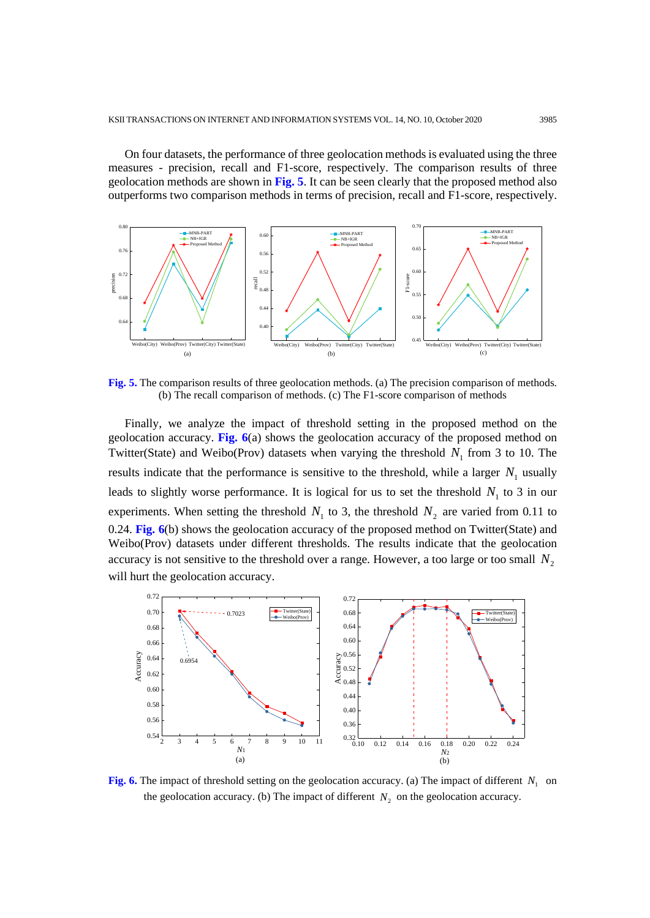On four datasets, the performance of three geolocation methods is evaluated using the three measures - precision, recall and F1-score, respectively. The comparison results of three geolocation methods are shown in **Fig. 5**. It can be seen clearly that the proposed method also outperforms two comparison methods in terms of precision, recall and F1-score, respectively.



**Fig. 5.** The comparison results of three geolocation methods. (a) The precision comparison of methods. (b) The recall comparison of methods. (c) The F1-score comparison of methods

Finally, we analyze the impact of threshold setting in the proposed method on the geolocation accuracy. **Fig. 6**(a) shows the geolocation accuracy of the proposed method on Twitter(State) and Weibo(Prov) datasets when varying the threshold  $N_1$  from 3 to 10. The results indicate that the performance is sensitive to the threshold, while a larger  $N<sub>1</sub>$  usually leads to slightly worse performance. It is logical for us to set the threshold  $N_1$  to 3 in our experiments. When setting the threshold  $N_1$  to 3, the threshold  $N_2$  are varied from 0.11 to 0.24. **Fig. 6**(b) shows the geolocation accuracy of the proposed method on Twitter(State) and Weibo(Prov) datasets under different thresholds. The results indicate that the geolocation accuracy is not sensitive to the threshold over a range. However, a too large or too small  $N_2$ will hurt the geolocation accuracy.



**Fig. 6.** The impact of threshold setting on the geolocation accuracy. (a) The impact of different  $N_1$  on the geolocation accuracy. (b) The impact of different  $N_2$  on the geolocation accuracy.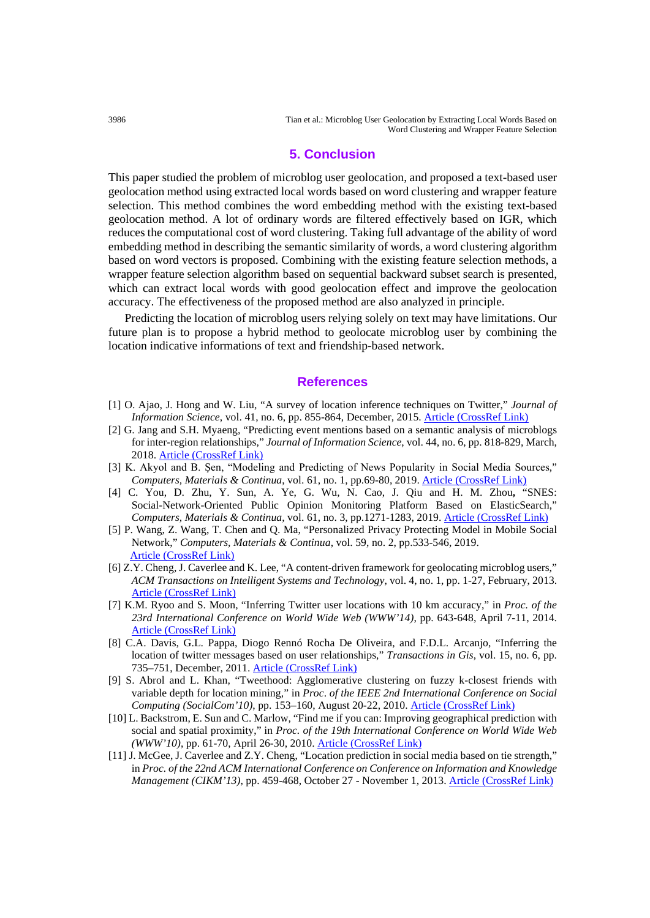3986 Tian et al.: Microblog User Geolocation by Extracting Local Words Based on Word Clustering and Wrapper Feature Selection

#### **5. Conclusion**

This paper studied the problem of microblog user geolocation, and proposed a text-based user geolocation method using extracted local words based on word clustering and wrapper feature selection. This method combines the word embedding method with the existing text-based geolocation method. A lot of ordinary words are filtered effectively based on IGR, which reduces the computational cost of word clustering. Taking full advantage of the ability of word embedding method in describing the semantic similarity of words, a word clustering algorithm based on word vectors is proposed. Combining with the existing feature selection methods, a wrapper feature selection algorithm based on sequential backward subset search is presented, which can extract local words with good geolocation effect and improve the geolocation accuracy. The effectiveness of the proposed method are also analyzed in principle.

Predicting the location of microblog users relying solely on text may have limitations. Our future plan is to propose a hybrid method to geolocate microblog user by combining the location indicative informations of text and friendship-based network.

#### **References**

- [1] O. Ajao, J. Hong and W. Liu, "A survey of location inference techniques on Twitter," *Journal of Information Science*, vol. 41, no. 6, pp. 855-864, December, 2015. [Article \(CrossRef Link\)](https://doi.org/10.1177/0165551515602847)
- [2] G. Jang and S.H. Myaeng, "Predicting event mentions based on a semantic analysis of microblogs for inter-region relationships," *Journal of Information Science*, vol. 44, no. 6, pp. 818-829, March, 2018. [Article \(CrossRef Link\)](https://doi.org/10.1177/0165551518761012)
- [3] K. Akyol and B. Şen, "Modeling and Predicting of News Popularity in Social Media Sources," *Computers, Materials & Continua*, vol. 61, no. 1, pp.69-80, 2019. [Article \(CrossRef Link\)](https://doi.org/10.32604/cmc.2019.08143)
- [4] C. You, D. Zhu, Y. Sun, A. Ye, G. Wu, N. Cao, J. Qiu and H. M. Zhou**,** "SNES: Social-Network-Oriented Public Opinion Monitoring Platform Based on ElasticSearch," *Computers, Materials & Continua,* vol. 61, no. 3, pp.1271-1283, 2019. [Article \(CrossRef Link\)](https://doi.org/10.32604/cmc.2019.06133)
- [5] P. Wang, Z. Wang, T. Chen and Q. Ma, "Personalized Privacy Protecting Model in Mobile Social Network," *Computers, Materials & Continua*, vol. 59, no. 2, pp.533-546, 2019. [Article \(CrossRef Link\)](https://doi.org/10.32604/cmc.2019.05570)
- [6] Z.Y. Cheng, J. Caverlee and K. Lee, "A content-driven framework for geolocating microblog users," *ACM Transactions on Intelligent Systems and Technology*, vol. 4, no. 1, pp. 1-27, February, 2013. [Article \(CrossRef Link\)](https://doi.org/10.1145/2414425.2414427)
- [7] K.M. Ryoo and S. Moon, "Inferring Twitter user locations with 10 km accuracy," in *Proc. of the 23rd International Conference on World Wide Web (WWW'14)*, pp. 643-648, April 7-11, 2014. [Article \(CrossRef Link\)](https://doi.org/10.1145/2567948.2579236)
- [8] C.A. Davis, G.L. Pappa, Diogo Rennó Rocha De Oliveira, and F.D.L. Arcanjo, "Inferring the location of twitter messages based on user relationships," *Transactions in Gis*, vol. 15, no. 6, pp. 735–751, December, 2011[. Article \(CrossRef Link\)](https://doi.org/10.1111/j.1467-9671.2011.01297.x)
- [9] S. Abrol and L. Khan, "Tweethood: Agglomerative clustering on fuzzy k-closest friends with variable depth for location mining," in *Proc*. *of the IEEE 2nd International Conference on Social Computing (SocialCom'10)*, pp. 153–160, August 20-22, 2010. [Article \(CrossRef Link\)](https://doi.org/10.1109/SocialCom.2010.30)
- [10] L. Backstrom, E. Sun and C. Marlow, "Find me if you can: Improving geographical prediction with social and spatial proximity," in *Proc. of the 19th International Conference on World Wide Web (WWW'10)*, pp. 61-70, April 26-30, 2010. [Article \(CrossRef Link\)](https://doi.org/10.1145/1772690.1772698)
- [11] J. McGee, J. Caverlee and Z.Y. Cheng, "Location prediction in social media based on tie strength," in *Proc. of the 22nd ACM International Conference on Conference on Information and Knowledge Management (CIKM'13)*, pp. 459-468, October 27 - November 1, 2013. [Article \(CrossRef Link\)](https://doi.org/10.1145/2505515.2505544)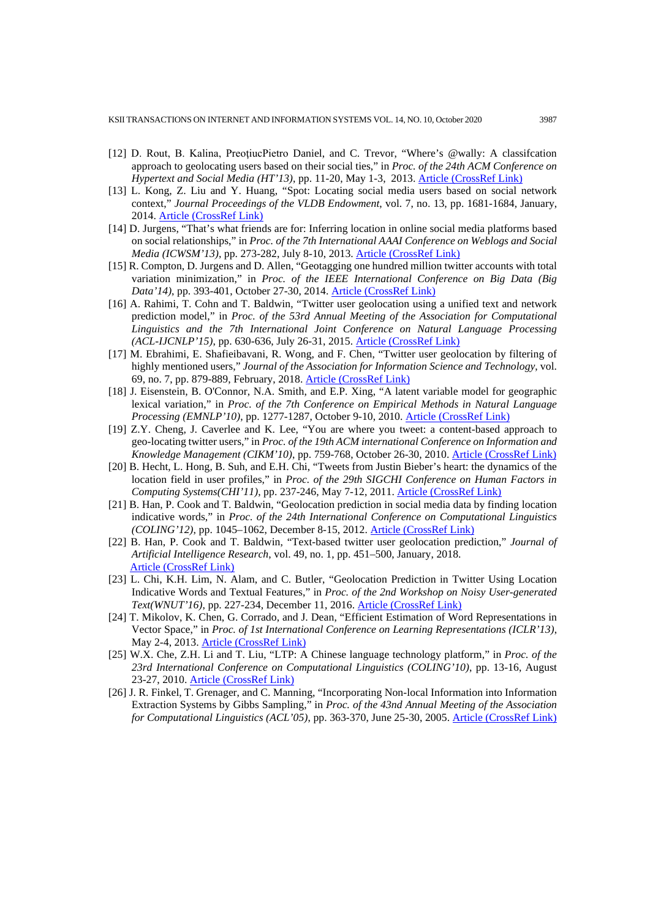- [12] D. Rout, B. Kalina, PreoțiucPietro Daniel, and C. Trevor, "Where's @wally: A classifcation approach to geolocating users based on their social ties," in *Proc. of the 24th ACM Conference on Hypertext and Social Media (HT'13)*, pp. 11-20, May 1-3, 2013. [Article \(CrossRef Link\)](https://doi.org/10.1145/2481492.2481494)
- [13] L. Kong, Z. Liu and Y. Huang, "Spot: Locating social media users based on social network context," *Journal Proceedings of the VLDB Endowment*, vol. 7, no. 13, pp. 1681-1684, January, 2014. [Article \(CrossRef Link\)](https://doi.org/10.14778/2733004.2733060)
- [14] D. Jurgens, "That's what friends are for: Inferring location in online social media platforms based on social relationships," in *Proc. of the 7th International AAAI Conference on Weblogs and Social Media (ICWSM'13)*, pp. 273-282, July 8-10, 2013. [Article \(CrossRef Link\)](https://aaai.org/ocs/index.php/ICWSM/ICWSM13/paper/view/6067/6366)
- [15] R. Compton, D. Jurgens and D. Allen, "Geotagging one hundred million twitter accounts with total variation minimization," in *Proc. of the IEEE International Conference on Big Data (Big Data'14)*, pp. 393-401, October 27-30, 2014. [Article \(CrossRef Link\)](https://doi.org/10.1109/BigData.2014.7004256)
- [16] A. Rahimi, T. Cohn and T. Baldwin, "Twitter user geolocation using a unified text and network prediction model," in *Proc. of the 53rd Annual Meeting of the Association for Computational Linguistics and the 7th International Joint Conference on Natural Language Processing (ACL-IJCNLP'15)*, pp. 630-636, July 26-31, 2015. [Article \(CrossRef Link\)](https://doi.org/10.3115/v1/P15-2104)
- [17] M. Ebrahimi, E. Shafieibavani, R. Wong, and F. Chen, "Twitter user geolocation by filtering of highly mentioned users," *Journal of the Association for Information Science and Technology*, vol. 69, no. 7, pp. 879-889, February, 2018. [Article \(CrossRef Link\)](https://doi.org/10.1002/asi.24011)
- [18] J. Eisenstein, B. O'Connor, N.A. Smith, and E.P. Xing, "A latent variable model for geographic lexical variation," in *Proc. of the 7th Conference on Empirical Methods in Natural Language Processing (EMNLP'10)*, pp. 1277-1287, October 9-10, 2010. [Article \(CrossRef Link\)](https://dl.acm.org/doi/10.5555/1870658.1870782)
- [19] Z.Y. Cheng, J. Caverlee and K. Lee, "You are where you tweet: a content-based approach to geo-locating twitter users," in *Proc. of the 19th ACM international Conference on Information and Knowledge Management (CIKM'10)*, pp. 759-768, October 26-30, 2010. [Article \(CrossRef Link\)](https://doi.org/10.1145/1871437.1871535)
- [20] B. Hecht, L. Hong, B. Suh, and E.H. Chi, "Tweets from Justin Bieber's heart: the dynamics of the location field in user profiles," in *Proc. of the 29th SIGCHI Conference on Human Factors in Computing Systems(CHI'11)*, pp. 237-246, May 7-12, 2011. [Article \(CrossRef Link\)](https://doi.org/10.1145/1978942.1978976)
- [21] B. Han, P. Cook and T. Baldwin, "Geolocation prediction in social media data by finding location indicative words," in *Proc. of the 24th International Conference on Computational Linguistics (COLING'12)*, pp. 1045–1062, December 8-15, 2012. [Article \(CrossRef Link\)](http://citeseerx.ist.psu.edu/viewdoc/summary?doi=10.1.1.308.3185)
- [22] B. Han, P. Cook and T. Baldwin, "Text-based twitter user geolocation prediction," *Journal of Artificial Intelligence Research*, vol. 49, no. 1, pp. 451–500, January, 2018. [Article \(CrossRef Link\)](https://doi.org/10.1613/jair.4200)
- [23] L. Chi, K.H. Lim, N. Alam, and C. Butler, "Geolocation Prediction in Twitter Using Location Indicative Words and Textual Features," in *Proc. of the 2nd Workshop on Noisy User-generated Text(WNUT'16)*, pp. 227-234, December 11, 2016. [Article \(CrossRef Link\)](https://www.aclweb.org/anthology/W16-3930.pdf)
- [24] T. Mikolov, K. Chen, G. Corrado, and J. Dean, "Efficient Estimation of Word Representations in Vector Space," in *Proc. of 1st International Conference on Learning Representations (ICLR'13)*, May 2-4, 2013. [Article \(CrossRef Link\)](https://arxiv.org/abs/1301.3781)
- [25] W.X. Che, Z.H. Li and T. Liu, "LTP: A Chinese language technology platform," in *Proc. of the 23rd International Conference on Computational Linguistics (COLING'10)*, pp. 13-16, August 23-27, 2010. [Article \(CrossRef Link\)](https://dl.acm.org/doi/10.5555/1944284.1944288)
- [26] J. R. Finkel, T. Grenager, and C. Manning, "Incorporating Non-local Information into Information Extraction Systems by Gibbs Sampling," in *Proc. of the 43nd Annual Meeting of the Association for Computational Linguistics (ACL'05)*, pp. 363-370, June 25-30, 2005. [Article \(CrossRef Link\)](https://doi.org/10.3115/1219840.1219885)